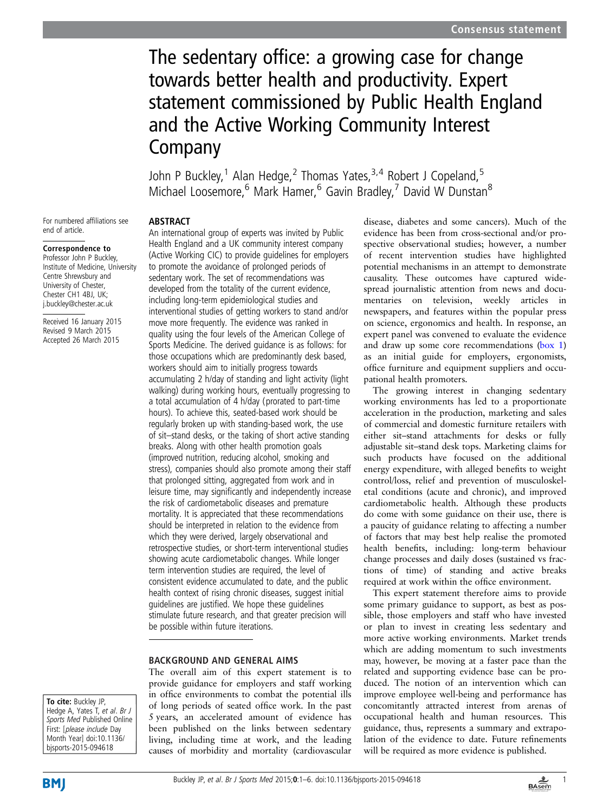# The sedentary office: a growing case for change towards better health and productivity. Expert statement commissioned by Public Health England and the Active Working Community Interest Company

John P Buckley,<sup>1</sup> Alan Hedge,<sup>2</sup> Thomas Yates,<sup>3,4</sup> Robert J Copeland,<sup>5</sup> Michael Loosemore,<sup>6</sup> Mark Hamer,<sup>6</sup> Gavin Bradley,<sup>7</sup> David W Dunstan<sup>8</sup>

## ABSTRACT

For numbered affiliations see end of article.

## Correspondence to

Professor John P Buckley, Institute of Medicine, University Centre Shrewsbury and University of Chester, Chester CH1 4BJ, UK; j.buckley@chester.ac.uk

Received 16 January 2015 Revised 9 March 2015 Accepted 26 March 2015

An international group of experts was invited by Public Health England and a UK community interest company (Active Working CIC) to provide guidelines for employers to promote the avoidance of prolonged periods of sedentary work. The set of recommendations was developed from the totality of the current evidence, including long-term epidemiological studies and interventional studies of getting workers to stand and/or move more frequently. The evidence was ranked in quality using the four levels of the American College of Sports Medicine. The derived guidance is as follows: for those occupations which are predominantly desk based, workers should aim to initially progress towards accumulating 2 h/day of standing and light activity (light walking) during working hours, eventually progressing to a total accumulation of 4 h/day (prorated to part-time hours). To achieve this, seated-based work should be regularly broken up with standing-based work, the use of sit–stand desks, or the taking of short active standing breaks. Along with other health promotion goals (improved nutrition, reducing alcohol, smoking and stress), companies should also promote among their staff that prolonged sitting, aggregated from work and in leisure time, may significantly and independently increase the risk of cardiometabolic diseases and premature mortality. It is appreciated that these recommendations should be interpreted in relation to the evidence from which they were derived, largely observational and retrospective studies, or short-term interventional studies showing acute cardiometabolic changes. While longer term intervention studies are required, the level of consistent evidence accumulated to date, and the public health context of rising chronic diseases, suggest initial guidelines are justified. We hope these guidelines stimulate future research, and that greater precision will be possible within future iterations.

## BACKGROUND AND GENERAL AIMS

The overall aim of this expert statement is to provide guidance for employers and staff working in office environments to combat the potential ills of long periods of seated office work. In the past 5 years, an accelerated amount of evidence has been published on the links between sedentary living, including time at work, and the leading causes of morbidity and mortality (cardiovascular

disease, diabetes and some cancers). Much of the evidence has been from cross-sectional and/or prospective observational studies; however, a number of recent intervention studies have highlighted potential mechanisms in an attempt to demonstrate causality. These outcomes have captured widespread journalistic attention from news and documentaries on television, weekly articles in newspapers, and features within the popular press on science, ergonomics and health. In response, an expert panel was convened to evaluate the evidence and draw up some core recommendations [\(box 1](#page-1-0)) as an initial guide for employers, ergonomists, office furniture and equipment suppliers and occupational health promoters.

The growing interest in changing sedentary working environments has led to a proportionate acceleration in the production, marketing and sales of commercial and domestic furniture retailers with either sit–stand attachments for desks or fully adjustable sit–stand desk tops. Marketing claims for such products have focused on the additional energy expenditure, with alleged benefits to weight control/loss, relief and prevention of musculoskeletal conditions (acute and chronic), and improved cardiometabolic health. Although these products do come with some guidance on their use, there is a paucity of guidance relating to affecting a number of factors that may best help realise the promoted health benefits, including: long-term behaviour change processes and daily doses (sustained vs fractions of time) of standing and active breaks required at work within the office environment.

This expert statement therefore aims to provide some primary guidance to support, as best as possible, those employers and staff who have invested or plan to invest in creating less sedentary and more active working environments. Market trends which are adding momentum to such investments may, however, be moving at a faster pace than the related and supporting evidence base can be produced. The notion of an intervention which can improve employee well-being and performance has concomitantly attracted interest from arenas of occupational health and human resources. This guidance, thus, represents a summary and extrapolation of the evidence to date. Future refinements will be required as more evidence is published.

To cite: Buckley JP, Hedge A, Yates T, et al. Br J Sports Med Published Online First: [please include Day Month Year] doi:10.1136/ bjsports-2015-094618

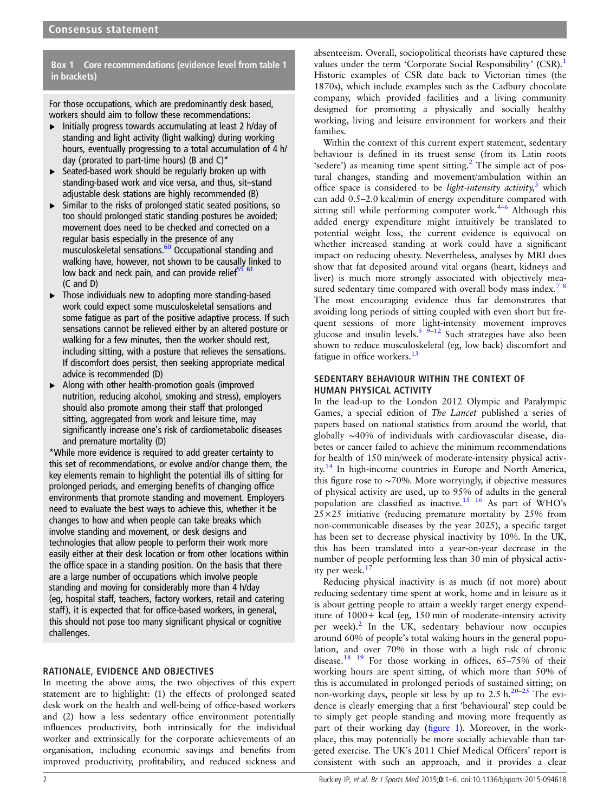## <span id="page-1-0"></span>Box 1 Core recommendations (evidence level from table 1 in brackets)

For those occupations, which are predominantly desk based, workers should aim to follow these recommendations:

- ▸ Initially progress towards accumulating at least 2 h/day of standing and light activity (light walking) during working hours, eventually progressing to a total accumulation of 4 h/ day (prorated to part-time hours) (B and  $C$ )\*
- ▶ Seated-based work should be regularly broken up with standing-based work and vice versa, and thus, sit–stand adjustable desk stations are highly recommended (B)
- ▸ Similar to the risks of prolonged static seated positions, so too should prolonged static standing postures be avoided; movement does need to be checked and corrected on a regular basis especially in the presence of any musculoskeletal sensations.<sup>[60](#page-5-0)</sup> Occupational standing and walking have, however, not shown to be causally linked to low back and neck pain, and can provide relief<sup>55  $6$ </sup> (C and D)
- ▶ Those individuals new to adopting more standing-based work could expect some musculoskeletal sensations and some fatigue as part of the positive adaptive process. If such sensations cannot be relieved either by an altered posture or walking for a few minutes, then the worker should rest, including sitting, with a posture that relieves the sensations. If discomfort does persist, then seeking appropriate medical advice is recommended (D)
- ▸ Along with other health-promotion goals (improved nutrition, reducing alcohol, smoking and stress), employers should also promote among their staff that prolonged sitting, aggregated from work and leisure time, may significantly increase one's risk of cardiometabolic diseases and premature mortality (D)

\*While more evidence is required to add greater certainty to this set of recommendations, or evolve and/or change them, the key elements remain to highlight the potential ills of sitting for prolonged periods, and emerging benefits of changing office environments that promote standing and movement. Employers need to evaluate the best ways to achieve this, whether it be changes to how and when people can take breaks which involve standing and movement, or desk designs and technologies that allow people to perform their work more easily either at their desk location or from other locations within the office space in a standing position. On the basis that there are a large number of occupations which involve people standing and moving for considerably more than 4 h/day (eg, hospital staff, teachers, factory workers, retail and catering staff), it is expected that for office-based workers, in general, this should not pose too many significant physical or cognitive challenges.

## RATIONALE, EVIDENCE AND OBJECTIVES

In meeting the above aims, the two objectives of this expert statement are to highlight: (1) the effects of prolonged seated desk work on the health and well-being of office-based workers and (2) how a less sedentary office environment potentially influences productivity, both intrinsically for the individual worker and extrinsically for the corporate achievements of an organisation, including economic savings and benefits from improved productivity, profitability, and reduced sickness and

absenteeism. Overall, sociopolitical theorists have captured these values under the term 'Corporate Social Responsibility' (CSR).<sup>[1](#page-4-0)</sup> Historic examples of CSR date back to Victorian times (the 1870s), which include examples such as the Cadbury chocolate company, which provided facilities and a living community designed for promoting a physically and socially healthy working, living and leisure environment for workers and their families.

Within the context of this current expert statement, sedentary behaviour is defined in its truest sense (from its Latin roots 'sedere') as meaning time spent sitting. $<sup>2</sup>$  $<sup>2</sup>$  $<sup>2</sup>$  The simple act of pos-</sup> tural changes, standing and movement/ambulation within an office space is considered to be *light-intensity activity*,<sup>[3](#page-4-0)</sup> which<br>can add 0.5–2.0 kcal/min of energy expenditure compared with can add 0.5–2.0 kcal/min of energy expenditure compared with sitting still while performing computer work. $4-6$  $4-6$  Although this added energy expenditure might intuitively be translated to potential weight loss, the current evidence is equivocal on whether increased standing at work could have a significant impact on reducing obesity. Nevertheless, analyses by MRI does show that fat deposited around vital organs (heart, kidneys and liver) is much more strongly associated with objectively measured sedentary time compared with overall body mass index.<sup>78</sup> The most encouraging evidence thus far demonstrates that avoiding long periods of sitting coupled with even short but frequent sessions of more light-intensity movement improves glucose and insulin levels.<sup>[5](#page-4-0)</sup>  $\frac{9-12}{7}$  $\frac{9-12}{7}$  $\frac{9-12}{7}$  Such strategies have also been shown to reduce musculoskeletal (eg, low back) discomfort and fatigue in office workers.<sup>[13](#page-4-0)</sup>

## SEDENTARY BEHAVIOUR WITHIN THE CONTEXT OF HUMAN PHYSICAL ACTIVITY

In the lead-up to the London 2012 Olympic and Paralympic Games, a special edition of The Lancet published a series of papers based on national statistics from around the world, that globally ∼40% of individuals with cardiovascular disease, diabetes or cancer failed to achieve the minimum recommendations for health of 150 min/week of moderate-intensity physical activity.[14](#page-4-0) In high-income countries in Europe and North America, this figure rose to ∼70%. More worryingly, if objective measures of physical activity are used, up to 95% of adults in the general population are classified as inactive.<sup>[15 16](#page-4-0)</sup> As part of  $\overline{W}$ HO's  $25 \times 25$  initiative (reducing premature mortality by 25% from non-communicable diseases by the year 2025), a specific target has been set to decrease physical inactivity by 10%. In the UK, this has been translated into a year-on-year decrease in the number of people performing less than 30 min of physical activity per week.<sup>1</sup>

Reducing physical inactivity is as much (if not more) about reducing sedentary time spent at work, home and in leisure as it is about getting people to attain a weekly target energy expenditure of 1000+ kcal (eg, 150 min of moderate-intensity activity per week).<sup>[2](#page-4-0)</sup> In the UK, sedentary behaviour now occupies around 60% of people's total waking hours in the general population, and over 70% in those with a high risk of chronic disease[.18 19](#page-4-0) For those working in offices, 65–75% of their working hours are spent sitting, of which more than 50% of this is accumulated in prolonged periods of sustained sitting; on non-working days, people sit less by up to  $2.5$  h.<sup>20–25</sup> The evidence is clearly emerging that a first 'behavioural' step could be to simply get people standing and moving more frequently as part of their working day (fi[gure 1\)](#page-2-0). Moreover, in the workplace, this may potentially be more socially achievable than targeted exercise. The UK's 2011 Chief Medical Officers' report is consistent with such an approach, and it provides a clear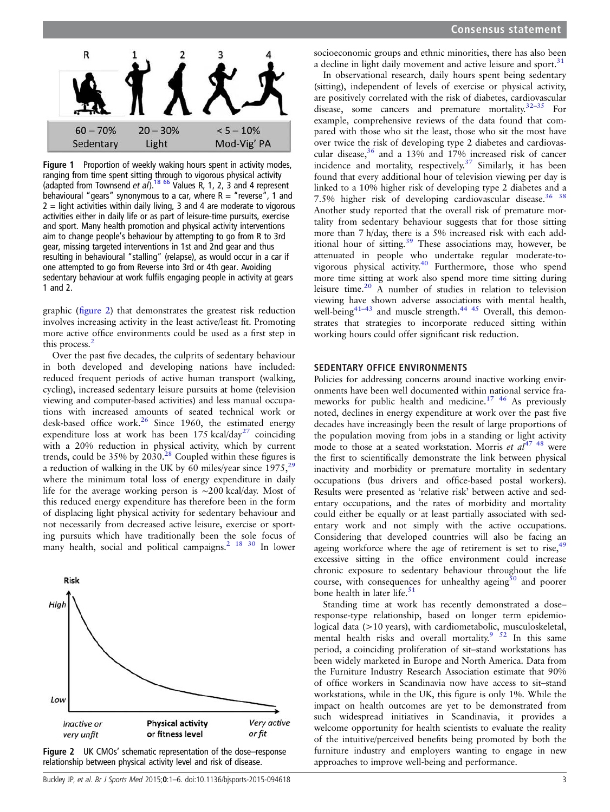<span id="page-2-0"></span>

Figure 1 Proportion of weekly waking hours spent in activity modes, ranging from time spent sitting through to vigorous physical activity (adapted from Townsend et al).<sup>[18](#page-4-0) [66](#page-5-0)</sup> Values R, 1, 2, 3 and 4 represent behavioural "gears" synonymous to a car, where  $R =$  "reverse", 1 and  $2 =$  light activities within daily living, 3 and 4 are moderate to vigorous activities either in daily life or as part of leisure-time pursuits, exercise and sport. Many health promotion and physical activity interventions aim to change people's behaviour by attempting to go from R to 3rd gear, missing targeted interventions in 1st and 2nd gear and thus resulting in behavioural "stalling" (relapse), as would occur in a car if one attempted to go from Reverse into 3rd or 4th gear. Avoiding sedentary behaviour at work fulfils engaging people in activity at gears 1 and 2.

graphic (figure 2) that demonstrates the greatest risk reduction involves increasing activity in the least active/least fit. Promoting more active office environments could be used as a first step in this process.<sup>[2](#page-4-0)</sup>

Over the past five decades, the culprits of sedentary behaviour in both developed and developing nations have included: reduced frequent periods of active human transport (walking, cycling), increased sedentary leisure pursuits at home (television viewing and computer-based activities) and less manual occupations with increased amounts of seated technical work or desk-based office work. $26$  Since 1960, the estimated energy expenditure loss at work has been  $175$  kcal/day<sup>[27](#page-4-0)</sup> coinciding with a 20% reduction in physical activity, which by current trends, could be  $35\%$  by  $2030.<sup>28</sup>$  $2030.<sup>28</sup>$  $2030.<sup>28</sup>$  Coupled within these figures is a reduction of walking in the UK by 60 miles/year since  $1975$ ,  $^{29}$ where the minimum total loss of energy expenditure in daily life for the average working person is ∼200 kcal/day. Most of this reduced energy expenditure has therefore been in the form of displacing light physical activity for sedentary behaviour and not necessarily from decreased active leisure, exercise or sporting pursuits which have traditionally been the sole focus of many health, social and political campaigns.<sup>2 18 30</sup> In lower



Figure 2 UK CMOs' schematic representation of the dose–response relationship between physical activity level and risk of disease.

socioeconomic groups and ethnic minorities, there has also been a decline in light daily movement and active leisure and sport.<sup>[31](#page-4-0)</sup>

In observational research, daily hours spent being sedentary (sitting), independent of levels of exercise or physical activity, are positively correlated with the risk of diabetes, cardiovascular disease, some cancers and premature mortality. $32-35$  $32-35$  For example, comprehensive reviews of the data found that compared with those who sit the least, those who sit the most have over twice the risk of developing type 2 diabetes and cardiovascular disease,  $36$  and a 13% and 17% increased risk of cancer incidence and mortality, respectively.<sup>[37](#page-4-0)</sup> Similarly, it has been found that every additional hour of television viewing per day is linked to a 10% higher risk of developing type 2 diabetes and a 7.5% higher risk of developing cardiovascular disease.[36 38](#page-4-0) Another study reported that the overall risk of premature mortality from sedentary behaviour suggests that for those sitting more than 7 h/day, there is a 5% increased risk with each add-itional hour of sitting.<sup>[39](#page-4-0)</sup> These associations may, however, be attenuated in people who undertake regular moderate-tovigorous physical activity.[40](#page-4-0) Furthermore, those who spend more time sitting at work also spend more time sitting during leisure time.[20](#page-4-0) A number of studies in relation to television viewing have shown adverse associations with mental health, well-being<sup>41–[43](#page-4-0)</sup> and muscle strength.<sup>44–45</sup> Overall, this demonstrates that strategies to incorporate reduced sitting within working hours could offer significant risk reduction.

#### SEDENTARY OFFICE ENVIRONMENTS

Policies for addressing concerns around inactive working environments have been well documented within national service fra-meworks for public health and medicine.<sup>17 [46](#page-5-0)</sup> As previously noted, declines in energy expenditure at work over the past five decades have increasingly been the result of large proportions of the population moving from jobs in a standing or light activity mode to those at a seated workstation. Morris *et*  $aI^{47}$  <sup>48</sup> were the first to scientifically demonstrate the link between physical inactivity and morbidity or premature mortality in sedentary occupations (bus drivers and office-based postal workers). Results were presented as 'relative risk' between active and sedentary occupations, and the rates of morbidity and mortality could either be equally or at least partially associated with sedentary work and not simply with the active occupations. Considering that developed countries will also be facing an ageing workforce where the age of retirement is set to rise,<sup>[49](#page-5-0)</sup> excessive sitting in the office environment could increase chronic exposure to sedentary behaviour throughout the life course, with consequences for unhealthy ageing $50$  and poorer bone health in later life.<sup>[51](#page-5-0)</sup>

Standing time at work has recently demonstrated a dose– response-type relationship, based on longer term epidemiological data (>10 years), with cardiometabolic, musculoskeletal, mental health risks and overall mortality.<sup>[9](#page-4-0) [52](#page-5-0)</sup> In this same period, a coinciding proliferation of sit–stand workstations has been widely marketed in Europe and North America. Data from the Furniture Industry Research Association estimate that 90% of office workers in Scandinavia now have access to sit–stand workstations, while in the UK, this figure is only 1%. While the impact on health outcomes are yet to be demonstrated from such widespread initiatives in Scandinavia, it provides a welcome opportunity for health scientists to evaluate the reality of the intuitive/perceived benefits being promoted by both the furniture industry and employers wanting to engage in new approaches to improve well-being and performance.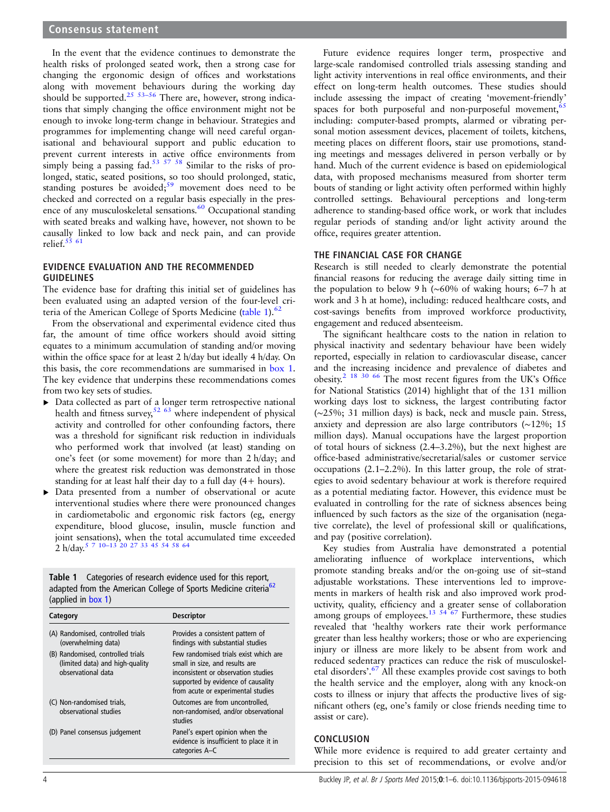In the event that the evidence continues to demonstrate the health risks of prolonged seated work, then a strong case for changing the ergonomic design of offices and workstations along with movement behaviours during the working day should be supported.<sup>[25](#page-4-0) [53](#page-5-0)–56</sup> There are, however, strong indications that simply changing the office environment might not be enough to invoke long-term change in behaviour. Strategies and programmes for implementing change will need careful organisational and behavioural support and public education to prevent current interests in active office environments from simply being a passing fad.<sup>[53 57 58](#page-5-0)</sup> Similar to the risks of prolonged, static, seated positions, so too should prolonged, static, standing postures be avoided; $59$  movement does need to be checked and corrected on a regular basis especially in the pres-ence of any musculoskeletal sensations.<sup>[60](#page-5-0)</sup> Occupational standing with seated breaks and walking have, however, not shown to be causally linked to low back and neck pain, and can provide relief. $55$ 

## EVIDENCE EVALUATION AND THE RECOMMENDED GUIDELINES

The evidence base for drafting this initial set of guidelines has been evaluated using an adapted version of the four-level cri-teria of the American College of Sports Medicine (table 1).<sup>[62](#page-5-0)</sup>

From the observational and experimental evidence cited thus far, the amount of time office workers should avoid sitting equates to a minimum accumulation of standing and/or moving within the office space for at least 2 h/day but ideally 4 h/day. On this basis, the core recommendations are summarised in [box 1](#page-1-0). The key evidence that underpins these recommendations comes from two key sets of studies.

- ▸ Data collected as part of a longer term retrospective national health and fitness survey,  $52/63$  where independent of physical activity and controlled for other confounding factors, there was a threshold for significant risk reduction in individuals who performed work that involved (at least) standing on one's feet (or some movement) for more than 2 h/day; and where the greatest risk reduction was demonstrated in those standing for at least half their day to a full day (4+ hours).
- Data presented from a number of observational or acute interventional studies where there were pronounced changes in cardiometabolic and ergonomic risk factors (eg, energy expenditure, blood glucose, insulin, muscle function and joint sensations), when the total accumulated time exceeded  $2$  h/day.<sup>[5 7 10](#page-4-0)–13 [20 27 33](#page-4-0) [45 54 58 64](#page-5-0)</sup>

Table 1 Categories of research evidence used for this report, adapted from the American College of Sports Medicine criteria<sup>[62](#page-5-0)</sup> (applied in [box 1](#page-1-0))

| Category                                                                                   | <b>Descriptor</b>                                                                                                                                                                          |
|--------------------------------------------------------------------------------------------|--------------------------------------------------------------------------------------------------------------------------------------------------------------------------------------------|
| (A) Randomised, controlled trials<br>(overwhelming data)                                   | Provides a consistent pattern of<br>findings with substantial studies                                                                                                                      |
| (B) Randomised, controlled trials<br>(limited data) and high-quality<br>observational data | Few randomised trials exist which are<br>small in size, and results are<br>inconsistent or observation studies<br>supported by evidence of causality<br>from acute or experimental studies |
| (C) Non-randomised trials,<br>observational studies                                        | Outcomes are from uncontrolled,<br>non-randomised, and/or observational<br><b>studies</b>                                                                                                  |
| (D) Panel consensus judgement                                                              | Panel's expert opinion when the<br>evidence is insufficient to place it in<br>categories A-C                                                                                               |

Future evidence requires longer term, prospective and large-scale randomised controlled trials assessing standing and light activity interventions in real office environments, and their effect on long-term health outcomes. These studies should include assessing the impact of creating 'movement-friendly' spaces for both purposeful and non-purposeful movement,<sup>6</sup> including: computer-based prompts, alarmed or vibrating personal motion assessment devices, placement of toilets, kitchens, meeting places on different floors, stair use promotions, standing meetings and messages delivered in person verbally or by hand. Much of the current evidence is based on epidemiological data, with proposed mechanisms measured from shorter term bouts of standing or light activity often performed within highly controlled settings. Behavioural perceptions and long-term adherence to standing-based office work, or work that includes regular periods of standing and/or light activity around the office, requires greater attention.

## THE FINANCIAL CASE FOR CHANGE

Research is still needed to clearly demonstrate the potential financial reasons for reducing the average daily sitting time in the population to below 9 h (∼60% of waking hours; 6–7 h at work and 3 h at home), including: reduced healthcare costs, and cost-savings benefits from improved workforce productivity, engagement and reduced absenteeism.

The significant healthcare costs to the nation in relation to physical inactivity and sedentary behaviour have been widely reported, especially in relation to cardiovascular disease, cancer and the increasing incidence and prevalence of diabetes and obesity.[2 18 30](#page-4-0) [66](#page-5-0) The most recent figures from the UK's Office for National Statistics (2014) highlight that of the 131 million working days lost to sickness, the largest contributing factor (∼25%; 31 million days) is back, neck and muscle pain. Stress, anxiety and depression are also large contributors (∼12%; 15 million days). Manual occupations have the largest proportion of total hours of sickness (2.4–3.2%), but the next highest are office-based administrative/secretarial/sales or customer service occupations (2.1–2.2%). In this latter group, the role of strategies to avoid sedentary behaviour at work is therefore required as a potential mediating factor. However, this evidence must be evaluated in controlling for the rate of sickness absences being influenced by such factors as the size of the organisation (negative correlate), the level of professional skill or qualifications, and pay (positive correlation).

Key studies from Australia have demonstrated a potential ameliorating influence of workplace interventions, which promote standing breaks and/or the on-going use of sit–stand adjustable workstations. These interventions led to improvements in markers of health risk and also improved work productivity, quality, efficiency and a greater sense of collaboration among groups of employees.<sup>13 [54 67](#page-5-0)</sup> Furthermore, these studies revealed that 'healthy workers rate their work performance greater than less healthy workers; those or who are experiencing injury or illness are more likely to be absent from work and reduced sedentary practices can reduce the risk of musculoskel-etal disorders'.<sup>[67](#page-5-0)</sup> All these examples provide cost savings to both the health service and the employer, along with any knock-on costs to illness or injury that affects the productive lives of significant others (eg, one's family or close friends needing time to assist or care).

#### **CONCLUSION**

While more evidence is required to add greater certainty and precision to this set of recommendations, or evolve and/or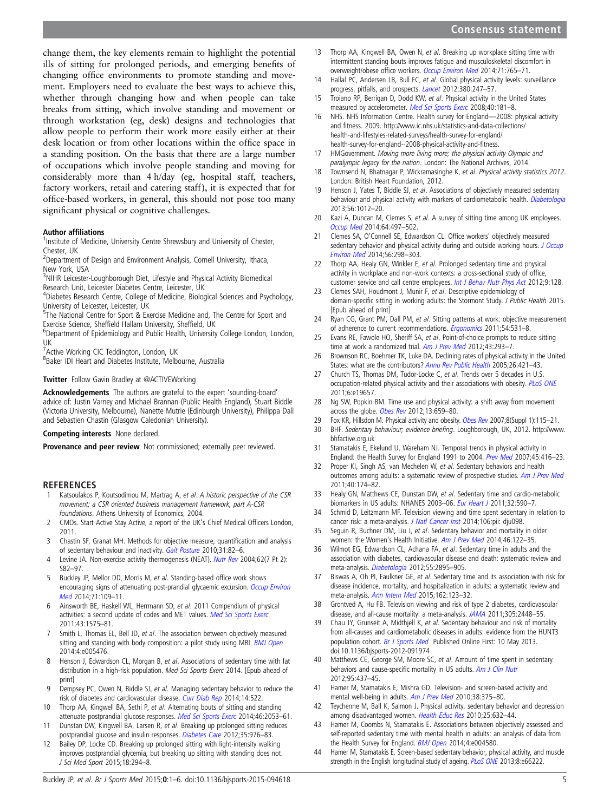<span id="page-4-0"></span>change them, the key elements remain to highlight the potential ills of sitting for prolonged periods, and emerging benefits of changing office environments to promote standing and movement. Employers need to evaluate the best ways to achieve this, whether through changing how and when people can take breaks from sitting, which involve standing and movement or through workstation (eg, desk) designs and technologies that allow people to perform their work more easily either at their desk location or from other locations within the office space in a standing position. On the basis that there are a large number of occupations which involve people standing and moving for considerably more than 4 h/day (eg, hospital staff, teachers, factory workers, retail and catering staff ), it is expected that for office-based workers, in general, this should not pose too many significant physical or cognitive challenges.

#### Author affiliations <sup>1</sup>

<sup>1</sup>Institute of Medicine, University Centre Shrewsbury and University of Chester, Chester, UK

<sup>2</sup> Department of Design and Environment Analysis, Cornell University, Ithaca, New York, USA

<sup>3</sup>NIHR Leicester-Loughborough Diet, Lifestyle and Physical Activity Biomedical Research Unit, Leicester Diabetes Centre, Leicester, UK

<sup>4</sup>Diabetes Research Centre, College of Medicine, Biological Sciences and Psychology, University of Leicester, Leicester, UK

<sup>5</sup>The National Centre for Sport & Exercise Medicine and, The Centre for Sport and Exercise Science, Sheffield Hallam University, Sheffield, UK <sup>6</sup>

Department of Epidemiology and Public Health, University College London, London, UK

<sup>7</sup> Active Working CIC Teddington, London, UK

8 Baker IDI Heart and Diabetes Institute, Melbourne, Australia

Twitter Follow Gavin Bradley at [@ACTIVEWorking](http://twitter.com/ACTIVEWorking)

Acknowledgements The authors are grateful to the expert 'sounding-board' advice of: Justin Varney and Michael Brannan (Public Health England), Stuart Biddle (Victoria University, Melbourne), Nanette Mutrie (Edinburgh University), Philippa Dall and Sebastien Chastin (Glasgow Caledonian University).

Competing interests None declared.

Provenance and peer review Not commissioned; externally peer reviewed.

#### **REFERENCES**

- Katsoulakos P, Koutsodimou M, Martrag A, et al. A historic perspective of the CSR movement; a CSR oriented business management framework, part A-CSR foundations. Athens University of Economics, 2004.
- 2 CMOs. Start Active Stay Active, a report of the UK's Chief Medical Officers London, 2011.
- 3 Chastin SF, Granat MH. Methods for objective measure, quantification and analysis of sedentary behaviour and inactivity. [Gait Posture](http://dx.doi.org/10.1016/j.gaitpost.2009.09.002) 2010;31:82-6.
- 4 Levine JA. Non-exercise activity thermogenesis (NEAT). [Nutr Rev](http://dx.doi.org/10.1111/j.1753-4887.2004.tb00094.x) 2004;62(7 Pt 2): S82–97.
- 5 Buckley JP, Mellor DD, Morris M, et al. Standing-based office work shows encouraging signs of attenuating post-prandial glycaemic excursion. [Occup Environ](http://dx.doi.org/10.1136/oemed-2013-101823) [Med](http://dx.doi.org/10.1136/oemed-2013-101823) 2014;71:109–11.
- 6 Ainsworth BE, Haskell WL, Herrmann SD, et al. 2011 Compendium of physical activities: a second update of codes and MET values. [Med Sci Sports Exerc](http://dx.doi.org/10.1249/MSS.0b013e31821ece12) 2011;43:1575–81.
- Smith L, Thomas EL, Bell JD, et al. The association between objectively measured sitting and standing with body composition: a pilot study using MRI. [BMJ Open](http://dx.doi.org/10.1136/bmjopen-2014-005476) 2014;4:e005476.
- 8 Henson J, Edwardson CL, Morgan B, et al. Associations of sedentary time with fat distribution in a high-risk population. Med Sci Sports Exerc 2014. [Epub ahead of print]
- 9 Dempsey PC, Owen N, Biddle SJ, et al. Managing sedentary behavior to reduce the risk of diabetes and cardiovascular disease. [Curr Diab Rep](http://dx.doi.org/10.1007/s11892-014-0522-0) 2014;14:522.
- 10 Thorp AA, Kingwell BA, Sethi P, et al. Alternating bouts of sitting and standing attenuate postprandial glucose responses. [Med Sci Sports Exerc](http://dx.doi.org/10.1249/MSS.0000000000000337) 2014;46:2053-61.
- 11 Dunstan DW, Kingwell BA, Larsen R, et al. Breaking up prolonged sitting reduces postprandial glucose and insulin responses. [Diabetes Care](http://dx.doi.org/10.2337/dc11-1931) 2012;35:976-83.
- 12 Bailey DP, Locke CD. Breaking up prolonged sitting with light-intensity walking improves postprandial glycemia, but breaking up sitting with standing does not. J Sci Med Sport 2015;18:294–8.
- 13 Thorp AA, Kingwell BA, Owen N, et al. Breaking up workplace sitting time with intermittent standing bouts improves fatigue and musculoskeletal discomfort in overweight/obese office workers. [Occup Environ Med](http://dx.doi.org/10.1136/oemed-2014-102348) 2014;71:765-71.
- 14 Hallal PC, Andersen LB, Bull FC, et al. Global physical activity levels: surveillance progress, pitfalls, and prospects. [Lancet](http://dx.doi.org/10.1016/S0140-6736(12)60646-1) 2012;380:247–57.
- 15 Troiano RP, Berrigan D, Dodd KW, et al. Physical activity in the United States measured by accelerometer. [Med Sci Sports Exerc](http://dx.doi.org/10.1249/mss.0b013e31815a51b3) 2008;40:181-8.
- 16 NHS. NHS Information Centre. Health survey for England—2008: physical activity and fitness. 2009. [http://www.ic.nhs.uk/statistics-and-data-collections/](http://www.ic.nhs.uk/statistics-and-data-collections/health-and-lifestyles-related-surveys/health-survey-for-england/health-survey-for-england--2008-physical-activity-and-fitness) [health-and-lifestyles-related-surveys/health-survey-for-england/](http://www.ic.nhs.uk/statistics-and-data-collections/health-and-lifestyles-related-surveys/health-survey-for-england/health-survey-for-england--2008-physical-activity-and-fitness) [health-survey-for-england--2008-physical-activity-and-](http://www.ic.nhs.uk/statistics-and-data-collections/health-and-lifestyles-related-surveys/health-survey-for-england/health-survey-for-england--2008-physical-activity-and-fitness)fitness.
- 17 HMGovernment. Moving more living more; the physical activity Olympic and paralympic legacy for the nation. London: The National Archives, 2014.
- 18 Townsend N, Bhatnagar P, Wickramasinghe K, et al. Physical activity statistics 2012. London: British Heart Foundation, 2012.
- 19 Henson J, Yates T, Biddle SJ, et al. Associations of objectively measured sedentary behaviour and physical activity with markers of cardiometabolic health. [Diabetologia](http://dx.doi.org/10.1007/s00125-013-2845-9) 2013;56:1012–20.
- 20 Kazi A, Duncan M, Clemes S, et al. A survey of sitting time among UK employees. [Occup Med](http://dx.doi.org/10.1093/occmed/kqu099) 2014;64:497–502.
- 21 Clemes SA, O'Connell SE, Edwardson CL. Office workers' objectively measured sedentary behavior and physical activity during and outside working hours. [J Occup](http://dx.doi.org/10.1097/JOM.0000000000000101) [Environ Med](http://dx.doi.org/10.1097/JOM.0000000000000101) 2014;56:298–303.
- 22 Thorp AA, Healy GN, Winkler E, et al. Prolonged sedentary time and physical activity in workplace and non-work contexts: a cross-sectional study of office, customer service and call centre employees. [Int J Behav Nutr Phys Act](http://dx.doi.org/10.1186/1479-5868-9-128) 2012;9:128.
- 23 Clemes SAH, Houdmont J, Munir F, et al. Descriptive epidemiology of domain-specific sitting in working adults: the Stormont Study. J Public Health 2015. [Epub ahead of print]
- 24 Ryan CG, Grant PM, Dall PM, et al. Sitting patterns at work: objective measurement of adherence to current recommendations. *[Ergonomics](http://dx.doi.org/10.1080/00140139.2011.570458)* 2011;54:531-8.
- 25 Evans RE, Fawole HO, Sheriff SA, et al. Point-of-choice prompts to reduce sitting time at work a randomized trial. [Am J Prev Med](http://dx.doi.org/10.1016/j.amepre.2012.05.010) 2012;43:293-7.
- 26 Brownson RC, Boehmer TK, Luke DA. Declining rates of physical activity in the United States: what are the contributors? [Annu Rev Public Health](http://dx.doi.org/10.1146/annurev.publhealth.26.021304.144437) 2005;26:421–43.
- 27 Church TS, Thomas DM, Tudor-Locke C, et al. Trends over 5 decades in U.S. occupation-related physical activity and their associations with obesity. [PLoS ONE](http://dx.doi.org/10.1371/journal.pone.0019657) 2011;6:e19657.
- 28 Ng SW, Popkin BM. Time use and physical activity: a shift away from movement across the globe. [Obes Rev](http://dx.doi.org/10.1111/j.1467-789X.2011.00982.x) 2012;13:659-80.
- 29 Fox KR, Hillsdon M. Physical activity and obesity. [Obes Rev](http://dx.doi.org/10.1111/j.1467-789X.2007.00329.x) 2007;8(Suppl 1):115-21.
- 30 BHF. Sedentary behaviour; evidence briefing. Loughborough, UK, 2012. [http://www.](http://www.bhfactive.org.uk) [bhfactive.org.uk](http://www.bhfactive.org.uk)
- 31 Stamatakis E, Ekelund U, Wareham NJ. Temporal trends in physical activity in England: the Health Survey for England 1991 to 2004. [Prev Med](http://dx.doi.org/10.1016/j.ypmed.2006.12.014) 2007;45:416–23.
- 32 Proper KI, Singh AS, van Mechelen W, et al. Sedentary behaviors and health outcomes among adults: a systematic review of prospective studies. [Am J Prev Med](http://dx.doi.org/10.1016/j.amepre.2010.10.015) 2011;40:174–82.
- 33 Healy GN, Matthews CE, Dunstan DW, et al. Sedentary time and cardio-metabolic biomarkers in US adults: NHANES 2003–06. [Eur Heart J](http://dx.doi.org/10.1093/eurheartj/ehq451) 2011;32:590–7.
- 34 Schmid D, Leitzmann MF. Television viewing and time spent sedentary in relation to cancer risk: a meta-analysis. [J Natl Cancer Inst](http://dx.doi.org/10.1093/jnci/dju098) 2014;106:pii: dju098.
- 35 Seguin R, Buchner DM, Liu J, et al. Sedentary behavior and mortality in older women: the Women's Health Initiative. [Am J Prev Med](http://dx.doi.org/10.1016/j.amepre.2013.10.021) 2014;46:122-35.
- 36 Wilmot EG, Edwardson CL, Achana FA, et al. Sedentary time in adults and the association with diabetes, cardiovascular disease and death: systematic review and meta-analysis. [Diabetologia](http://dx.doi.org/10.1007/s00125-012-2677-z) 2012;55:2895–905.
- 37 Biswas A, Oh PI, Faulkner GE, et al. Sedentary time and its association with risk for disease incidence, mortality, and hospitalization in adults: a systematic review and meta-analysis. [Ann Intern Med](http://dx.doi.org/10.7326/M14-1651) 2015;162:123–32.
- 38 Grontved A, Hu FB. Television viewing and risk of type 2 diabetes, cardiovascular disease, and all-cause mortality: a meta-analysis. [JAMA](http://dx.doi.org/10.1001/jama.2011.812) 2011;305:2448-55.
- 39 Chau JY, Grunseit A, Midthjell K, et al. Sedentary behaviour and risk of mortality from all-causes and cardiometabolic diseases in adults: evidence from the HUNT3 population cohort. [Br J Sports Med](http://dx.doi:10.1136/bjsports-2012-091974) Published Online First: 10 May 2013. doi:10.1136/bjsports-2012-091974
- 40 Matthews CE, George SM, Moore SC, et al. Amount of time spent in sedentary behaviors and cause-specific mortality in US adults. [Am J Clin Nutr](http://dx.doi.org/10.3945/ajcn.111.019620) 2012;95:437–45.
- 41 Hamer M, Stamatakis E, Mishra GD. Television- and screen-based activity and mental well-being in adults. [Am J Prev Med](http://dx.doi.org/10.1016/j.amepre.2009.12.030) 2010:38:375-80.
- 42 Teychenne M, Ball K, Salmon J. Physical activity, sedentary behavior and depression among disadvantaged women. [Health Educ Res](http://dx.doi.org/10.1093/her/cyq008) 2010;25:632–44.
- 43 Hamer M, Coombs N, Stamatakis E. Associations between objectively assessed and self-reported sedentary time with mental health in adults: an analysis of data from the Health Survey for England. **[BMJ Open](http://dx.doi.org/10.1136/bmjopen-2013-004580) 2014**;4:e004580.
- 44 Hamer M, Stamatakis E. Screen-based sedentary behavior, physical activity, and muscle strength in the English longitudinal study of ageing. [PLoS ONE](http://dx.doi.org/10.1371/journal.pone.0066222) 2013;8:e66222.